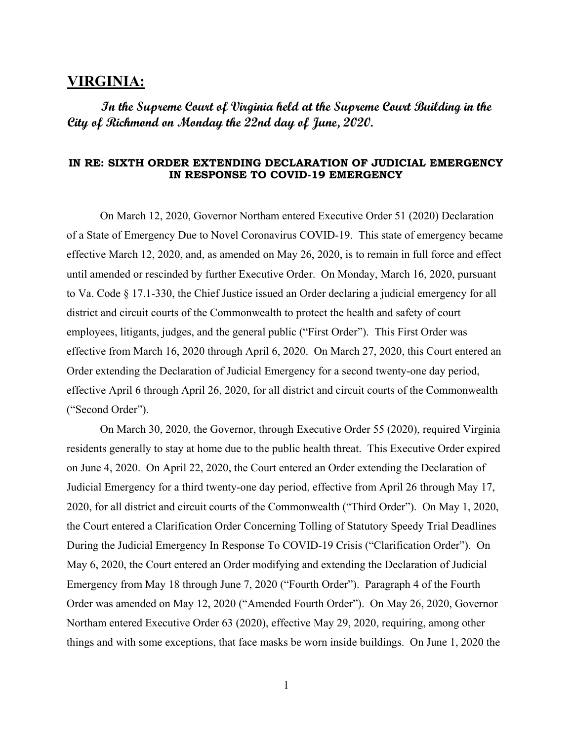## **VIRGINIA:**

**In the Supreme Court of Virginia held at the Supreme Court Building in the City of Richmond on Monday the 22nd day of June, 2020.** 

## **IN RE: SIXTH ORDER EXTENDING DECLARATION OF JUDICIAL EMERGENCY IN RESPONSE TO COVID-19 EMERGENCY**

On March 12, 2020, Governor Northam entered Executive Order 51 (2020) Declaration of a State of Emergency Due to Novel Coronavirus COVID-19. This state of emergency became effective March 12, 2020, and, as amended on May 26, 2020, is to remain in full force and effect until amended or rescinded by further Executive Order. On Monday, March 16, 2020, pursuant to Va. Code § 17.1-330, the Chief Justice issued an Order declaring a judicial emergency for all district and circuit courts of the Commonwealth to protect the health and safety of court employees, litigants, judges, and the general public ("First Order"). This First Order was effective from March 16, 2020 through April 6, 2020. On March 27, 2020, this Court entered an Order extending the Declaration of Judicial Emergency for a second twenty-one day period, effective April 6 through April 26, 2020, for all district and circuit courts of the Commonwealth ("Second Order").

On March 30, 2020, the Governor, through Executive Order 55 (2020), required Virginia residents generally to stay at home due to the public health threat. This Executive Order expired on June 4, 2020. On April 22, 2020, the Court entered an Order extending the Declaration of Judicial Emergency for a third twenty-one day period, effective from April 26 through May 17, 2020, for all district and circuit courts of the Commonwealth ("Third Order"). On May 1, 2020, the Court entered a Clarification Order Concerning Tolling of Statutory Speedy Trial Deadlines During the Judicial Emergency In Response To COVID-19 Crisis ("Clarification Order"). On May 6, 2020, the Court entered an Order modifying and extending the Declaration of Judicial Emergency from May 18 through June 7, 2020 ("Fourth Order"). Paragraph 4 of the Fourth Order was amended on May 12, 2020 ("Amended Fourth Order"). On May 26, 2020, Governor Northam entered Executive Order 63 (2020), effective May 29, 2020, requiring, among other things and with some exceptions, that face masks be worn inside buildings. On June 1, 2020 the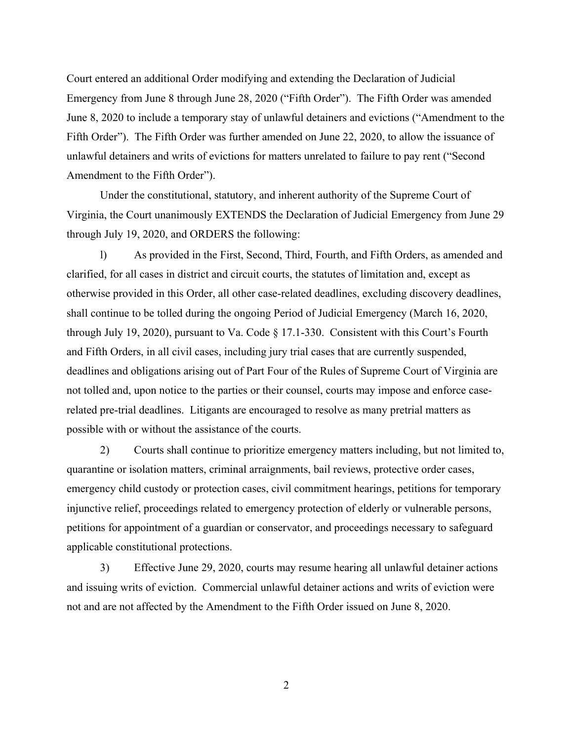Court entered an additional Order modifying and extending the Declaration of Judicial Emergency from June 8 through June 28, 2020 ("Fifth Order"). The Fifth Order was amended June 8, 2020 to include a temporary stay of unlawful detainers and evictions ("Amendment to the Fifth Order"). The Fifth Order was further amended on June 22, 2020, to allow the issuance of unlawful detainers and writs of evictions for matters unrelated to failure to pay rent ("Second Amendment to the Fifth Order").

Under the constitutional, statutory, and inherent authority of the Supreme Court of Virginia, the Court unanimously EXTENDS the Declaration of Judicial Emergency from June 29 through July 19, 2020, and ORDERS the following:

l) As provided in the First, Second, Third, Fourth, and Fifth Orders, as amended and clarified, for all cases in district and circuit courts, the statutes of limitation and, except as otherwise provided in this Order, all other case-related deadlines, excluding discovery deadlines, shall continue to be tolled during the ongoing Period of Judicial Emergency (March 16, 2020, through July 19, 2020), pursuant to Va. Code § 17.1-330. Consistent with this Court's Fourth and Fifth Orders, in all civil cases, including jury trial cases that are currently suspended, deadlines and obligations arising out of Part Four of the Rules of Supreme Court of Virginia are not tolled and, upon notice to the parties or their counsel, courts may impose and enforce caserelated pre-trial deadlines. Litigants are encouraged to resolve as many pretrial matters as possible with or without the assistance of the courts.

2) Courts shall continue to prioritize emergency matters including, but not limited to, quarantine or isolation matters, criminal arraignments, bail reviews, protective order cases, emergency child custody or protection cases, civil commitment hearings, petitions for temporary injunctive relief, proceedings related to emergency protection of elderly or vulnerable persons, petitions for appointment of a guardian or conservator, and proceedings necessary to safeguard applicable constitutional protections.

3) Effective June 29, 2020, courts may resume hearing all unlawful detainer actions and issuing writs of eviction. Commercial unlawful detainer actions and writs of eviction were not and are not affected by the Amendment to the Fifth Order issued on June 8, 2020.

2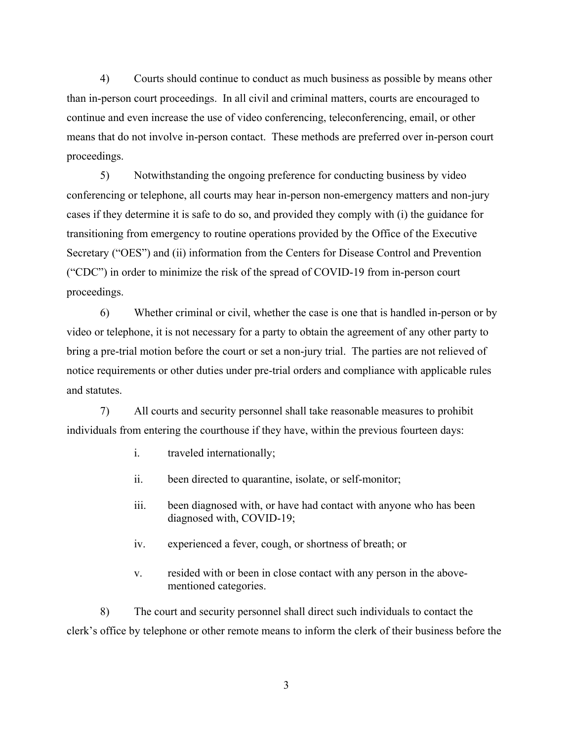4) Courts should continue to conduct as much business as possible by means other than in-person court proceedings. In all civil and criminal matters, courts are encouraged to continue and even increase the use of video conferencing, teleconferencing, email, or other means that do not involve in-person contact. These methods are preferred over in-person court proceedings.

5) Notwithstanding the ongoing preference for conducting business by video conferencing or telephone, all courts may hear in-person non-emergency matters and non-jury cases if they determine it is safe to do so, and provided they comply with (i) the guidance for transitioning from emergency to routine operations provided by the Office of the Executive Secretary ("OES") and (ii) information from the Centers for Disease Control and Prevention ("CDC") in order to minimize the risk of the spread of COVID-19 from in-person court proceedings.

6) Whether criminal or civil, whether the case is one that is handled in-person or by video or telephone, it is not necessary for a party to obtain the agreement of any other party to bring a pre-trial motion before the court or set a non-jury trial. The parties are not relieved of notice requirements or other duties under pre-trial orders and compliance with applicable rules and statutes.

7) All courts and security personnel shall take reasonable measures to prohibit individuals from entering the courthouse if they have, within the previous fourteen days:

- i. traveled internationally;
- ii. been directed to quarantine, isolate, or self-monitor;
- iii. been diagnosed with, or have had contact with anyone who has been diagnosed with, COVID-19;
- iv. experienced a fever, cough, or shortness of breath; or
- v. resided with or been in close contact with any person in the abovementioned categories.

8) The court and security personnel shall direct such individuals to contact the clerk's office by telephone or other remote means to inform the clerk of their business before the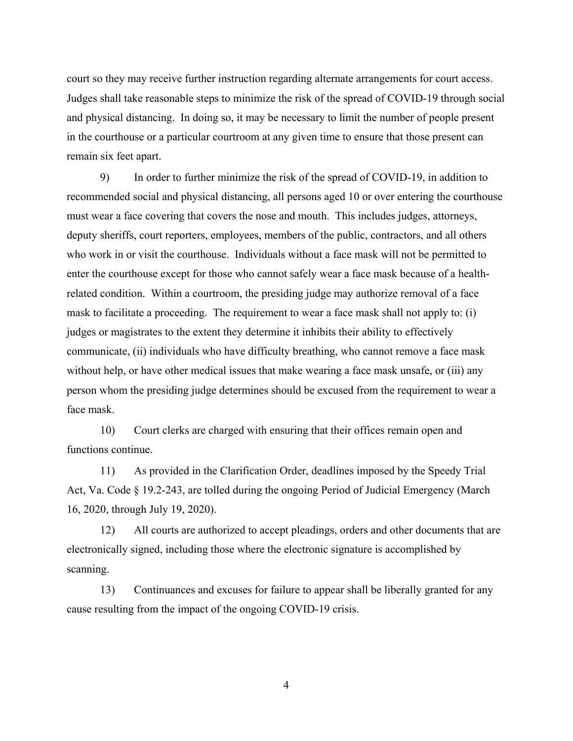court so they may receive further instruction regarding alternate arrangements for court access. Judges shall take reasonable steps to minimize the risk of the spread of COVID-19 through social and physical distancing. In doing so, it may be necessary to limit the number of people present in the courthouse or a particular courtroom at any given time to ensure that those present can remain six feet apart.

9) In order to further minimize the risk of the spread of COVID-19, in addition to recommended social and physical distancing, all persons aged 10 or over entering the courthouse must wear a face covering that covers the nose and mouth. This includes judges, attorneys, deputy sheriffs, court reporters, employees, members of the public, contractors, and all others who work in or visit the courthouse. Individuals without a face mask will not be permitted to enter the courthouse except for those who cannot safely wear a face mask because of a healthrelated condition. Within a courtroom, the presiding judge may authorize removal of a face mask to facilitate a proceeding. The requirement to wear a face mask shall not apply to: (i) judges or magistrates to the extent they determine it inhibits their ability to effectively communicate, (ii) individuals who have difficulty breathing, who cannot remove a face mask without help, or have other medical issues that make wearing a face mask unsafe, or (iii) any person whom the presiding judge determines should be excused from the requirement to wear a face mask.

10) Court clerks are charged with ensuring that their offices remain open and functions continue.

11) As provided in the Clarification Order, deadlines imposed by the Speedy Trial Act, Va. Code § 19.2-243, are tolled during the ongoing Period of Judicial Emergency (March 16, 2020, through July 19, 2020).

12) All courts are authorized to accept pleadings, orders and other documents that are electronically signed, including those where the electronic signature is accomplished by scanning.

13) Continuances and excuses for failure to appear shall be liberally granted for any cause resulting from the impact of the ongoing COVID-19 crisis.

4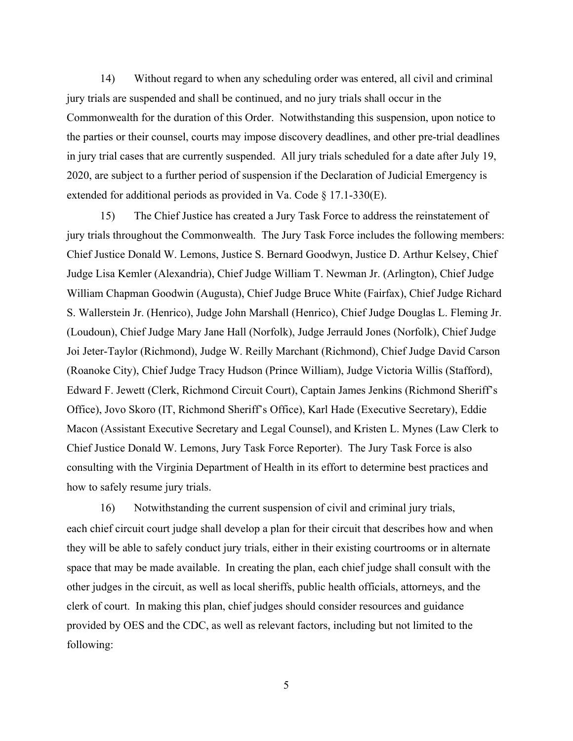14) Without regard to when any scheduling order was entered, all civil and criminal jury trials are suspended and shall be continued, and no jury trials shall occur in the Commonwealth for the duration of this Order. Notwithstanding this suspension, upon notice to the parties or their counsel, courts may impose discovery deadlines, and other pre-trial deadlines in jury trial cases that are currently suspended. All jury trials scheduled for a date after July 19, 2020, are subject to a further period of suspension if the Declaration of Judicial Emergency is extended for additional periods as provided in Va. Code § 17.1-330(E).

15) The Chief Justice has created a Jury Task Force to address the reinstatement of jury trials throughout the Commonwealth. The Jury Task Force includes the following members: Chief Justice Donald W. Lemons, Justice S. Bernard Goodwyn, Justice D. Arthur Kelsey, Chief Judge Lisa Kemler (Alexandria), Chief Judge William T. Newman Jr. (Arlington), Chief Judge William Chapman Goodwin (Augusta), Chief Judge Bruce White (Fairfax), Chief Judge Richard S. Wallerstein Jr. (Henrico), Judge John Marshall (Henrico), Chief Judge Douglas L. Fleming Jr. (Loudoun), Chief Judge Mary Jane Hall (Norfolk), Judge Jerrauld Jones (Norfolk), Chief Judge Joi Jeter-Taylor (Richmond), Judge W. Reilly Marchant (Richmond), Chief Judge David Carson (Roanoke City), Chief Judge Tracy Hudson (Prince William), Judge Victoria Willis (Stafford), Edward F. Jewett (Clerk, Richmond Circuit Court), Captain James Jenkins (Richmond Sheriff's Office), Jovo Skoro (IT, Richmond Sheriff's Office), Karl Hade (Executive Secretary), Eddie Macon (Assistant Executive Secretary and Legal Counsel), and Kristen L. Mynes (Law Clerk to Chief Justice Donald W. Lemons, Jury Task Force Reporter). The Jury Task Force is also consulting with the Virginia Department of Health in its effort to determine best practices and how to safely resume jury trials.

16) Notwithstanding the current suspension of civil and criminal jury trials, each chief circuit court judge shall develop a plan for their circuit that describes how and when they will be able to safely conduct jury trials, either in their existing courtrooms or in alternate space that may be made available. In creating the plan, each chief judge shall consult with the other judges in the circuit, as well as local sheriffs, public health officials, attorneys, and the clerk of court. In making this plan, chief judges should consider resources and guidance provided by OES and the CDC, as well as relevant factors, including but not limited to the following:

5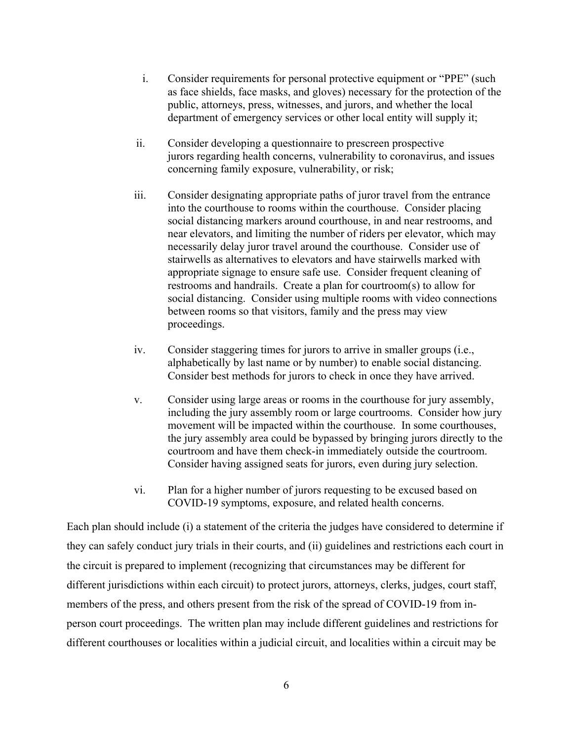- i. Consider requirements for personal protective equipment or "PPE" (such as face shields, face masks, and gloves) necessary for the protection of the public, attorneys, press, witnesses, and jurors, and whether the local department of emergency services or other local entity will supply it;
- ii. Consider developing a questionnaire to prescreen prospective jurors regarding health concerns, vulnerability to coronavirus, and issues concerning family exposure, vulnerability, or risk;
- iii. Consider designating appropriate paths of juror travel from the entrance into the courthouse to rooms within the courthouse. Consider placing social distancing markers around courthouse, in and near restrooms, and near elevators, and limiting the number of riders per elevator, which may necessarily delay juror travel around the courthouse. Consider use of stairwells as alternatives to elevators and have stairwells marked with appropriate signage to ensure safe use. Consider frequent cleaning of restrooms and handrails. Create a plan for courtroom(s) to allow for social distancing. Consider using multiple rooms with video connections between rooms so that visitors, family and the press may view proceedings.
- iv. Consider staggering times for jurors to arrive in smaller groups (i.e., alphabetically by last name or by number) to enable social distancing. Consider best methods for jurors to check in once they have arrived.
- v. Consider using large areas or rooms in the courthouse for jury assembly, including the jury assembly room or large courtrooms. Consider how jury movement will be impacted within the courthouse. In some courthouses, the jury assembly area could be bypassed by bringing jurors directly to the courtroom and have them check-in immediately outside the courtroom. Consider having assigned seats for jurors, even during jury selection.
- vi. Plan for a higher number of jurors requesting to be excused based on COVID-19 symptoms, exposure, and related health concerns.

Each plan should include (i) a statement of the criteria the judges have considered to determine if they can safely conduct jury trials in their courts, and (ii) guidelines and restrictions each court in the circuit is prepared to implement (recognizing that circumstances may be different for different jurisdictions within each circuit) to protect jurors, attorneys, clerks, judges, court staff, members of the press, and others present from the risk of the spread of COVID-19 from inperson court proceedings. The written plan may include different guidelines and restrictions for different courthouses or localities within a judicial circuit, and localities within a circuit may be